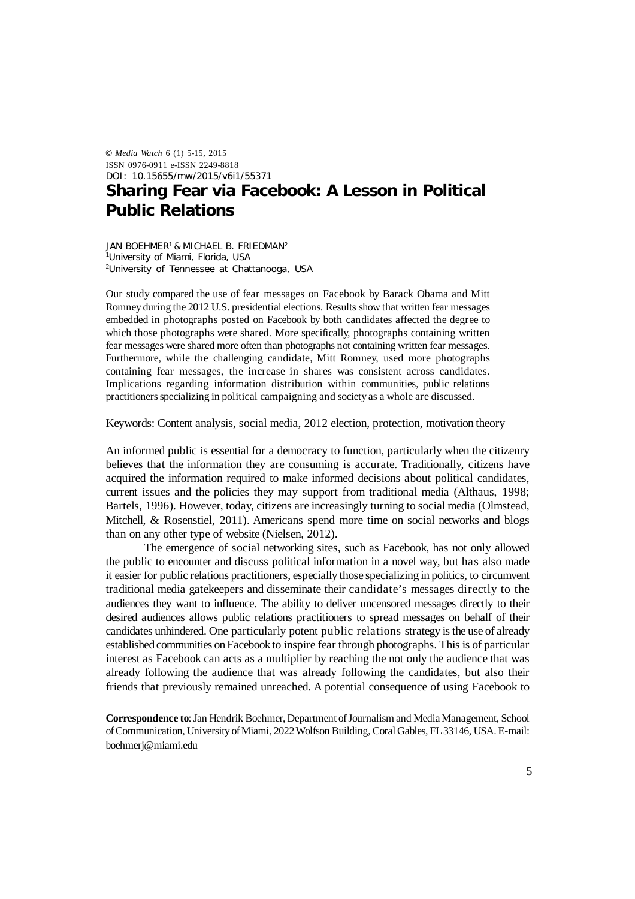© *Media Watch* 6 (1) 5-15, 2015 ISSN 0976-0911 e-ISSN 2249-8818 DOI: 10.15655/mw/2015/v6i1/55371

# **Sharing Fear via Facebook: A Lesson in Political Public Relations**

JAN BOEHMER<sup>1</sup> & MICHAEL B. FRIEDMAN<sup>2</sup> <sup>1</sup>University of Miami, Florida, USA <sup>2</sup>University of Tennessee at Chattanooga, USA

Our study compared the use of fear messages on Facebook by Barack Obama and Mitt Romney during the 2012 U.S. presidential elections. Results show that written fear messages embedded in photographs posted on Facebook by both candidates affected the degree to which those photographs were shared. More specifically, photographs containing written fear messages were shared more often than photographs not containing written fear messages. Furthermore, while the challenging candidate, Mitt Romney, used more photographs containing fear messages, the increase in shares was consistent across candidates. Implications regarding information distribution within communities, public relations practitioners specializing in political campaigning and society as a whole are discussed.

Keywords: Content analysis, social media, 2012 election, protection, motivation theory

An informed public is essential for a democracy to function, particularly when the citizenry believes that the information they are consuming is accurate. Traditionally, citizens have acquired the information required to make informed decisions about political candidates, current issues and the policies they may support from traditional media (Althaus, 1998; Bartels, 1996). However, today, citizens are increasingly turning to social media (Olmstead, Mitchell, & Rosenstiel, 2011). Americans spend more time on social networks and blogs than on any other type of website (Nielsen, 2012).

The emergence of social networking sites, such as Facebook, has not only allowed the public to encounter and discuss political information in a novel way, but has also made it easier for public relations practitioners, especially those specializing in politics, to circumvent traditional media gatekeepers and disseminate their candidate's messages directly to the audiences they want to influence. The ability to deliver uncensored messages directly to their desired audiences allows public relations practitioners to spread messages on behalf of their candidates unhindered. One particularly potent public relations strategy is the use of already established communities on Facebook to inspire fear through photographs. This is of particular interest as Facebook can acts as a multiplier by reaching the not only the audience that was already following the audience that was already following the candidates, but also their friends that previously remained unreached. A potential consequence of using Facebook to

**Correspondence to**: Jan Hendrik Boehmer, Department of Journalism and Media Management, School of Communication, University of Miami, 2022 Wolfson Building, Coral Gables, FL 33146, USA. E-mail: boehmerj@miami.edu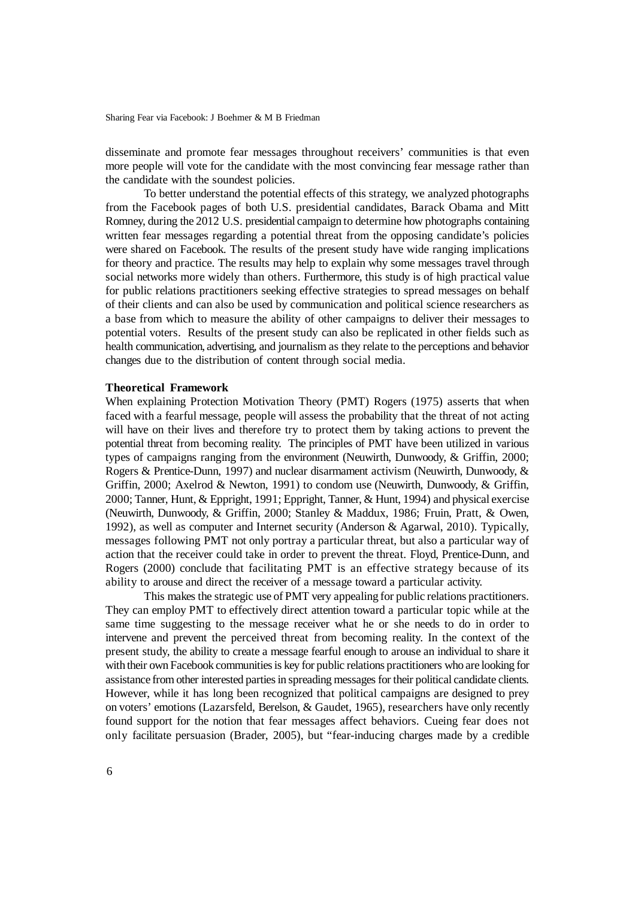disseminate and promote fear messages throughout receivers' communities is that even more people will vote for the candidate with the most convincing fear message rather than the candidate with the soundest policies.

To better understand the potential effects of this strategy, we analyzed photographs from the Facebook pages of both U.S. presidential candidates, Barack Obama and Mitt Romney, during the 2012 U.S. presidential campaign to determine how photographs containing written fear messages regarding a potential threat from the opposing candidate's policies were shared on Facebook. The results of the present study have wide ranging implications for theory and practice. The results may help to explain why some messages travel through social networks more widely than others. Furthermore, this study is of high practical value for public relations practitioners seeking effective strategies to spread messages on behalf of their clients and can also be used by communication and political science researchers as a base from which to measure the ability of other campaigns to deliver their messages to potential voters. Results of the present study can also be replicated in other fields such as health communication, advertising, and journalism as they relate to the perceptions and behavior changes due to the distribution of content through social media.

#### **Theoretical Framework**

When explaining Protection Motivation Theory (PMT) Rogers (1975) asserts that when faced with a fearful message, people will assess the probability that the threat of not acting will have on their lives and therefore try to protect them by taking actions to prevent the potential threat from becoming reality. The principles of PMT have been utilized in various types of campaigns ranging from the environment (Neuwirth, Dunwoody, & Griffin, 2000; Rogers & Prentice-Dunn, 1997) and nuclear disarmament activism (Neuwirth, Dunwoody, & Griffin, 2000; Axelrod & Newton, 1991) to condom use (Neuwirth, Dunwoody, & Griffin, 2000; Tanner, Hunt, & Eppright, 1991; Eppright, Tanner, & Hunt, 1994) and physical exercise (Neuwirth, Dunwoody, & Griffin, 2000; Stanley & Maddux, 1986; Fruin, Pratt, & Owen, 1992), as well as computer and Internet security (Anderson & Agarwal, 2010). Typically, messages following PMT not only portray a particular threat, but also a particular way of action that the receiver could take in order to prevent the threat. Floyd, Prentice-Dunn, and Rogers (2000) conclude that facilitating PMT is an effective strategy because of its ability to arouse and direct the receiver of a message toward a particular activity.

This makes the strategic use of PMT very appealing for public relations practitioners. They can employ PMT to effectively direct attention toward a particular topic while at the same time suggesting to the message receiver what he or she needs to do in order to intervene and prevent the perceived threat from becoming reality. In the context of the present study, the ability to create a message fearful enough to arouse an individual to share it with their own Facebook communities is key for public relations practitioners who are looking for assistance from other interested parties in spreading messages for their political candidate clients. However, while it has long been recognized that political campaigns are designed to prey on voters' emotions (Lazarsfeld, Berelson, & Gaudet, 1965), researchers have only recently found support for the notion that fear messages affect behaviors. Cueing fear does not only facilitate persuasion (Brader, 2005), but "fear-inducing charges made by a credible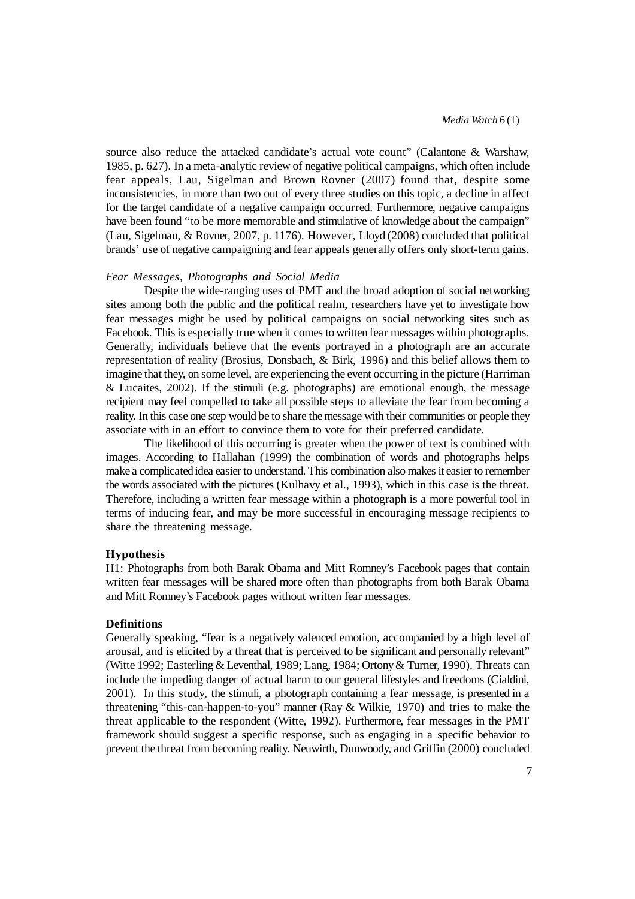source also reduce the attacked candidate's actual vote count" (Calantone & Warshaw, 1985, p. 627). In a meta-analytic review of negative political campaigns, which often include fear appeals, Lau, Sigelman and Brown Rovner (2007) found that, despite some inconsistencies, in more than two out of every three studies on this topic, a decline in affect for the target candidate of a negative campaign occurred. Furthermore, negative campaigns have been found "to be more memorable and stimulative of knowledge about the campaign" (Lau, Sigelman, & Rovner, 2007, p. 1176). However, Lloyd (2008) concluded that political brands' use of negative campaigning and fear appeals generally offers only short-term gains.

#### *Fear Messages, Photographs and Social Media*

Despite the wide-ranging uses of PMT and the broad adoption of social networking sites among both the public and the political realm, researchers have yet to investigate how fear messages might be used by political campaigns on social networking sites such as Facebook. This is especially true when it comes to written fear messages within photographs. Generally, individuals believe that the events portrayed in a photograph are an accurate representation of reality (Brosius, Donsbach, & Birk, 1996) and this belief allows them to imagine that they, on some level, are experiencing the event occurring in the picture (Harriman & Lucaites, 2002). If the stimuli (e.g. photographs) are emotional enough, the message recipient may feel compelled to take all possible steps to alleviate the fear from becoming a reality. In this case one step would be to share the message with their communities or people they associate with in an effort to convince them to vote for their preferred candidate.

The likelihood of this occurring is greater when the power of text is combined with images. According to Hallahan (1999) the combination of words and photographs helps make a complicated idea easier to understand. This combination also makes it easier to remember the words associated with the pictures (Kulhavy et al., 1993), which in this case is the threat. Therefore, including a written fear message within a photograph is a more powerful tool in terms of inducing fear, and may be more successful in encouraging message recipients to share the threatening message.

#### **Hypothesis**

H1: Photographs from both Barak Obama and Mitt Romney's Facebook pages that contain written fear messages will be shared more often than photographs from both Barak Obama and Mitt Romney's Facebook pages without written fear messages*.*

## **Definitions**

Generally speaking, "fear is a negatively valenced emotion, accompanied by a high level of arousal, and is elicited by a threat that is perceived to be significant and personally relevant" (Witte 1992; Easterling& Leventhal, 1989; Lang, 1984; Ortony & Turner, 1990). Threats can include the impeding danger of actual harm to our general lifestyles and freedoms (Cialdini, 2001). In this study, the stimuli, a photograph containing a fear message, is presented in a threatening "this-can-happen-to-you" manner (Ray & Wilkie, 1970) and tries to make the threat applicable to the respondent (Witte, 1992). Furthermore, fear messages in the PMT framework should suggest a specific response, such as engaging in a specific behavior to prevent the threat from becoming reality. Neuwirth, Dunwoody, and Griffin (2000) concluded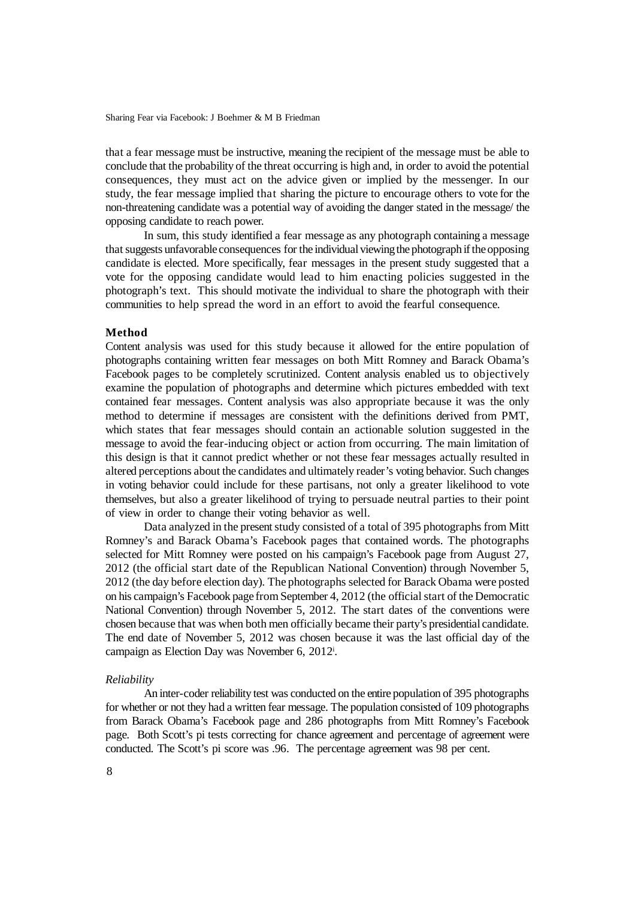that a fear message must be instructive, meaning the recipient of the message must be able to conclude that the probability of the threat occurring is high and, in order to avoid the potential consequences, they must act on the advice given or implied by the messenger. In our study, the fear message implied that sharing the picture to encourage others to vote for the non-threatening candidate was a potential way of avoiding the danger stated in the message/ the opposing candidate to reach power.

In sum, this study identified a fear message as any photograph containing a message that suggests unfavorable consequences for the individual viewing the photograph if the opposing candidate is elected. More specifically, fear messages in the present study suggested that a vote for the opposing candidate would lead to him enacting policies suggested in the photograph's text. This should motivate the individual to share the photograph with their communities to help spread the word in an effort to avoid the fearful consequence.

#### **Method**

Content analysis was used for this study because it allowed for the entire population of photographs containing written fear messages on both Mitt Romney and Barack Obama's Facebook pages to be completely scrutinized. Content analysis enabled us to objectively examine the population of photographs and determine which pictures embedded with text contained fear messages. Content analysis was also appropriate because it was the only method to determine if messages are consistent with the definitions derived from PMT, which states that fear messages should contain an actionable solution suggested in the message to avoid the fear-inducing object or action from occurring. The main limitation of this design is that it cannot predict whether or not these fear messages actually resulted in altered perceptions about the candidates and ultimately reader's voting behavior. Such changes in voting behavior could include for these partisans, not only a greater likelihood to vote themselves, but also a greater likelihood of trying to persuade neutral parties to their point of view in order to change their voting behavior as well.

Data analyzed in the present study consisted of a total of 395 photographs from Mitt Romney's and Barack Obama's Facebook pages that contained words. The photographs selected for Mitt Romney were posted on his campaign's Facebook page from August 27, 2012 (the official start date of the Republican National Convention) through November 5, 2012 (the day before election day). The photographs selected for Barack Obama were posted on his campaign's Facebook page from September 4, 2012 (the official start of the Democratic National Convention) through November 5, 2012. The start dates of the conventions were chosen because that was when both men officially became their party's presidential candidate. The end date of November 5, 2012 was chosen because it was the last official day of the campaign as Election Day was November 6, 2012<sup>i</sup> .

#### *Reliability*

An inter-coder reliability test was conducted on the entire population of 395 photographs for whether or not they had a written fear message. The population consisted of 109 photographs from Barack Obama's Facebook page and 286 photographs from Mitt Romney's Facebook page. Both Scott's pi tests correcting for chance agreement and percentage of agreement were conducted. The Scott's pi score was .96. The percentage agreement was 98 per cent.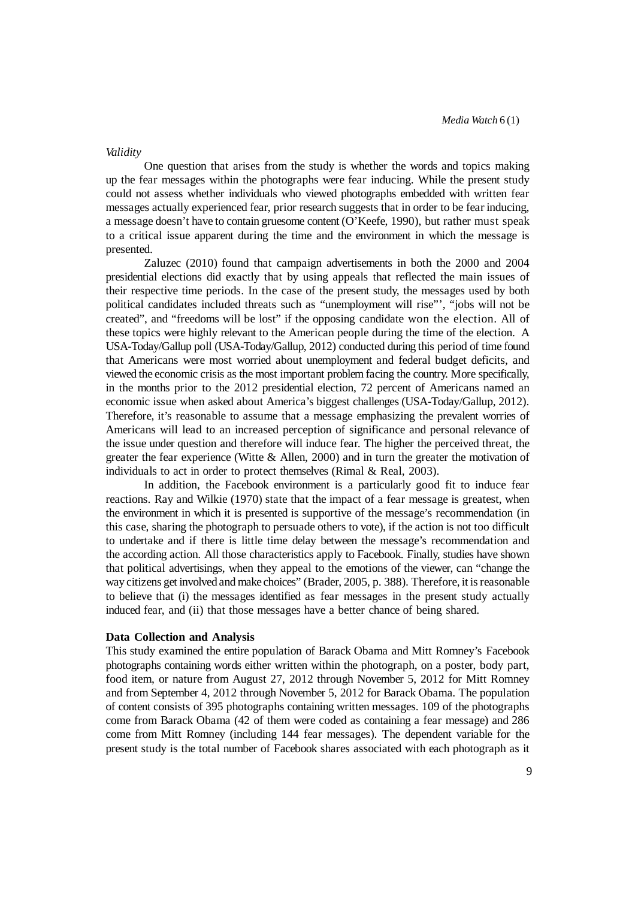#### *Validity*

One question that arises from the study is whether the words and topics making up the fear messages within the photographs were fear inducing. While the present study could not assess whether individuals who viewed photographs embedded with written fear messages actually experienced fear, prior research suggests that in order to be fear inducing, a message doesn't have to contain gruesome content (O'Keefe, 1990), but rather must speak to a critical issue apparent during the time and the environment in which the message is presented.

Zaluzec (2010) found that campaign advertisements in both the 2000 and 2004 presidential elections did exactly that by using appeals that reflected the main issues of their respective time periods. In the case of the present study, the messages used by both political candidates included threats such as "unemployment will rise"', "jobs will not be created", and "freedoms will be lost" if the opposing candidate won the election. All of these topics were highly relevant to the American people during the time of the election. A USA-Today/Gallup poll (USA-Today/Gallup, 2012) conducted during this period of time found that Americans were most worried about unemployment and federal budget deficits, and viewed the economic crisis as the most important problemfacing the country. More specifically, in the months prior to the 2012 presidential election, 72 percent of Americans named an economic issue when asked about America's biggest challenges (USA-Today/Gallup, 2012). Therefore, it's reasonable to assume that a message emphasizing the prevalent worries of Americans will lead to an increased perception of significance and personal relevance of the issue under question and therefore will induce fear. The higher the perceived threat, the greater the fear experience (Witte & Allen, 2000) and in turn the greater the motivation of individuals to act in order to protect themselves (Rimal & Real, 2003).

In addition, the Facebook environment is a particularly good fit to induce fear reactions. Ray and Wilkie (1970) state that the impact of a fear message is greatest, when the environment in which it is presented is supportive of the message's recommendation (in this case, sharing the photograph to persuade others to vote), if the action is not too difficult to undertake and if there is little time delay between the message's recommendation and the according action. All those characteristics apply to Facebook. Finally, studies have shown that political advertisings, when they appeal to the emotions of the viewer, can "change the way citizens get involved and make choices" (Brader, 2005, p. 388). Therefore, it is reasonable to believe that (i) the messages identified as fear messages in the present study actually induced fear, and (ii) that those messages have a better chance of being shared.

#### **Data Collection and Analysis**

This study examined the entire population of Barack Obama and Mitt Romney's Facebook photographs containing words either written within the photograph, on a poster, body part, food item, or nature from August 27, 2012 through November 5, 2012 for Mitt Romney and from September 4, 2012 through November 5, 2012 for Barack Obama. The population of content consists of 395 photographs containing written messages. 109 of the photographs come from Barack Obama (42 of them were coded as containing a fear message) and 286 come from Mitt Romney (including 144 fear messages). The dependent variable for the present study is the total number of Facebook shares associated with each photograph as it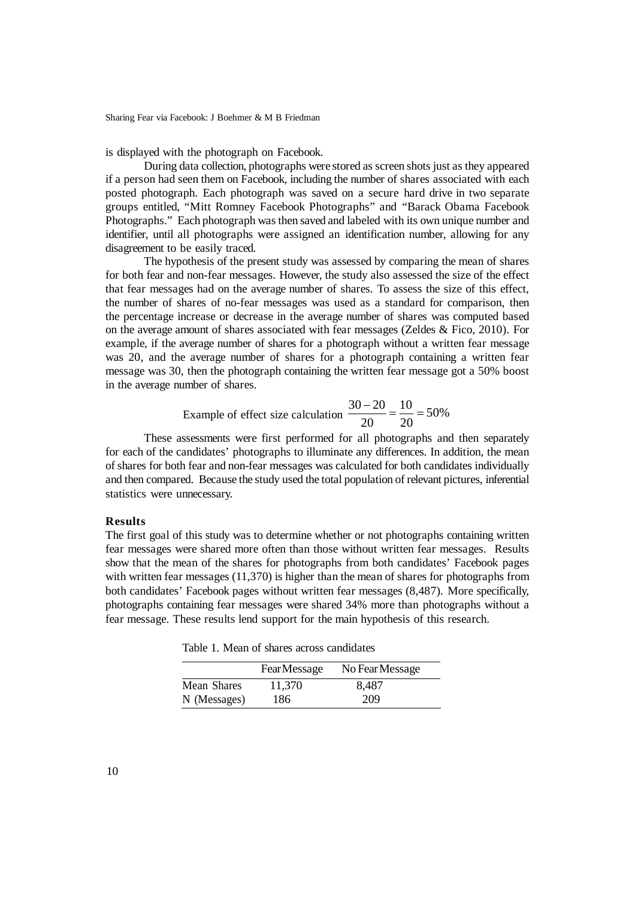is displayed with the photograph on Facebook.

During data collection, photographs were stored as screen shots just as they appeared if a person had seen them on Facebook, including the number of shares associated with each posted photograph. Each photograph was saved on a secure hard drive in two separate groups entitled, "Mitt Romney Facebook Photographs" and "Barack Obama Facebook Photographs." Each photograph was then saved and labeled with its own unique number and identifier, until all photographs were assigned an identification number, allowing for any disagreement to be easily traced.

The hypothesis of the present study was assessed by comparing the mean of shares for both fear and non-fear messages. However, the study also assessed the size of the effect that fear messages had on the average number of shares. To assess the size of this effect, the number of shares of no-fear messages was used as a standard for comparison, then the percentage increase or decrease in the average number of shares was computed based on the average amount of shares associated with fear messages (Zeldes & Fico, 2010). For example, if the average number of shares for a photograph without a written fear message was 20, and the average number of shares for a photograph containing a written fear message was 30, then the photograph containing the written fear message got a 50% boost in the average number of shares.

Example of effect size calculation 
$$
\frac{30-20}{20} = \frac{10}{20} = 50\%
$$

These assessments were first performed for all photographs and then separately for each of the candidates' photographs to illuminate any differences. In addition, the mean of shares for both fear and non-fear messages was calculated for both candidates individually and then compared. Because the study used the total population of relevant pictures, inferential statistics were unnecessary.

### **Results**

The first goal of this study was to determine whether or not photographs containing written fear messages were shared more often than those without written fear messages. Results show that the mean of the shares for photographs from both candidates' Facebook pages with written fear messages (11,370) is higher than the mean of shares for photographs from both candidates' Facebook pages without written fear messages (8,487). More specifically, photographs containing fear messages were shared 34% more than photographs without a fear message. These results lend support for the main hypothesis of this research.

Table 1. Mean of shares across candidates

|              | <b>FearMessage</b> | No Fear Message |
|--------------|--------------------|-----------------|
| Mean Shares  | 11,370             | 8,487           |
| N (Messages) | 186                | 209             |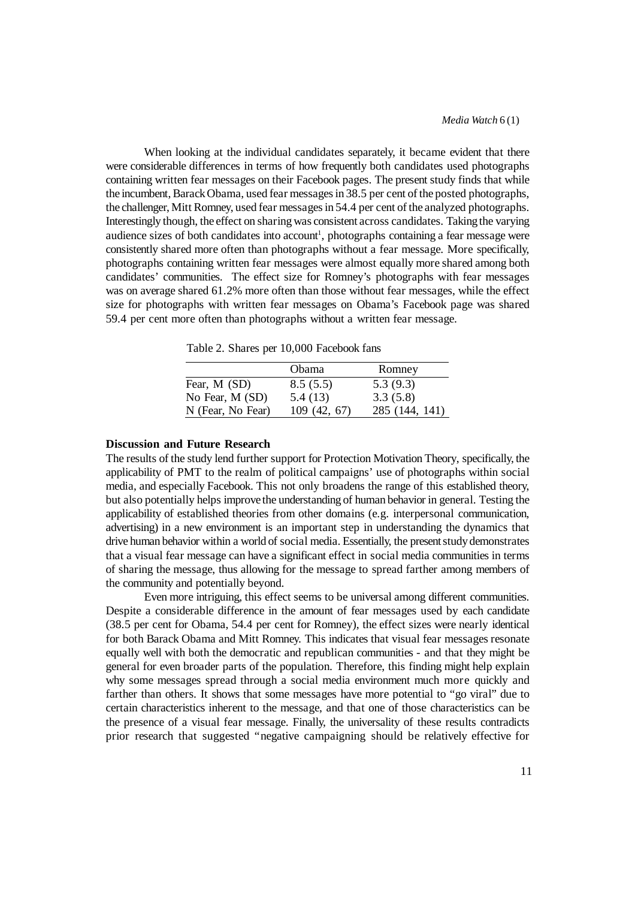When looking at the individual candidates separately, it became evident that there were considerable differences in terms of how frequently both candidates used photographs containing written fear messages on their Facebook pages. The present study finds that while the incumbent, Barack Obama, used fear messages in 38.5 per cent of the posted photographs, the challenger, Mitt Romney, used fear messages in 54.4 per cent of the analyzed photographs. Interestingly though, the effect on sharing was consistent across candidates. Taking the varying audience sizes of both candidates into account<sup>1</sup>, photographs containing a fear message were consistently shared more often than photographs without a fear message. More specifically, photographs containing written fear messages were almost equally more shared among both candidates' communities. The effect size for Romney's photographs with fear messages was on average shared 61.2% more often than those without fear messages, while the effect size for photographs with written fear messages on Obama's Facebook page was shared 59.4 per cent more often than photographs without a written fear message.

Table 2. Shares per 10,000 Facebook fans

|                   | Obama        | Romney         |
|-------------------|--------------|----------------|
| Fear, M (SD)      | 8.5(5.5)     | 5.3(9.3)       |
| No Fear, M (SD)   | 5.4 (13)     | 3.3(5.8)       |
| N (Fear, No Fear) | 109 (42, 67) | 285 (144, 141) |

## **Discussion and Future Research**

The results of the study lend further support for Protection Motivation Theory, specifically, the applicability of PMT to the realm of political campaigns' use of photographs within social media, and especially Facebook. This not only broadens the range of this established theory, but also potentially helps improve the understanding of human behavior in general. Testing the applicability of established theories from other domains (e.g. interpersonal communication, advertising) in a new environment is an important step in understanding the dynamics that drive human behavior within a world of social media. Essentially, the present study demonstrates that a visual fear message can have a significant effect in social media communities in terms of sharing the message, thus allowing for the message to spread farther among members of the community and potentially beyond.

Even more intriguing, this effect seems to be universal among different communities. Despite a considerable difference in the amount of fear messages used by each candidate (38.5 per cent for Obama, 54.4 per cent for Romney), the effect sizes were nearly identical for both Barack Obama and Mitt Romney. This indicates that visual fear messages resonate equally well with both the democratic and republican communities - and that they might be general for even broader parts of the population. Therefore, this finding might help explain why some messages spread through a social media environment much more quickly and farther than others. It shows that some messages have more potential to "go viral" due to certain characteristics inherent to the message, and that one of those characteristics can be the presence of a visual fear message. Finally, the universality of these results contradicts prior research that suggested "negative campaigning should be relatively effective for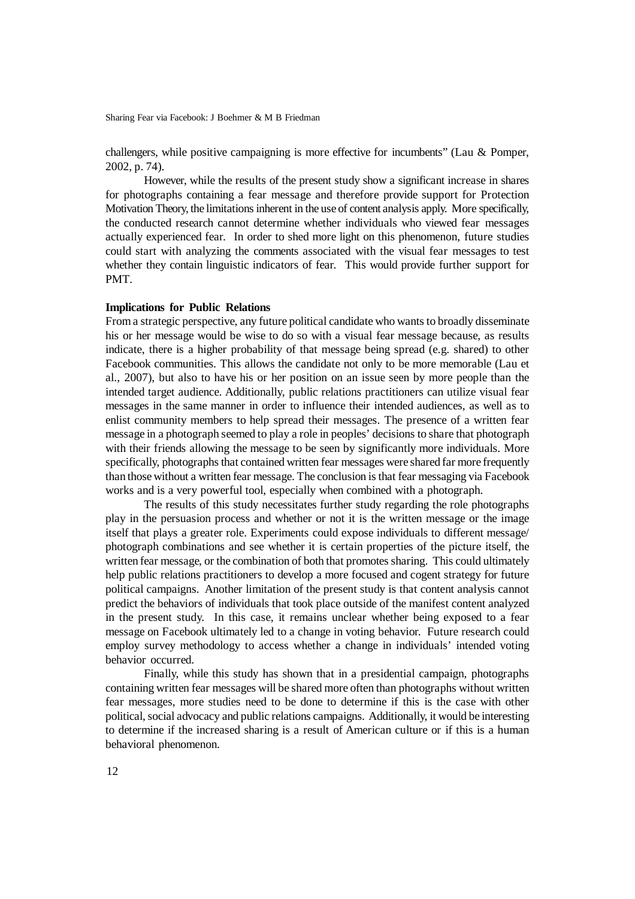challengers, while positive campaigning is more effective for incumbents" (Lau & Pomper, 2002, p. 74).

However, while the results of the present study show a significant increase in shares for photographs containing a fear message and therefore provide support for Protection Motivation Theory, the limitations inherent in the use of content analysis apply. More specifically, the conducted research cannot determine whether individuals who viewed fear messages actually experienced fear. In order to shed more light on this phenomenon, future studies could start with analyzing the comments associated with the visual fear messages to test whether they contain linguistic indicators of fear. This would provide further support for PMT.

#### **Implications for Public Relations**

From a strategic perspective, any future political candidate who wants to broadly disseminate his or her message would be wise to do so with a visual fear message because, as results indicate, there is a higher probability of that message being spread (e.g. shared) to other Facebook communities. This allows the candidate not only to be more memorable (Lau et al., 2007), but also to have his or her position on an issue seen by more people than the intended target audience. Additionally, public relations practitioners can utilize visual fear messages in the same manner in order to influence their intended audiences, as well as to enlist community members to help spread their messages. The presence of a written fear message in a photograph seemed to play a role in peoples' decisions to share that photograph with their friends allowing the message to be seen by significantly more individuals. More specifically, photographs that contained written fear messages were shared far more frequently than those without a written fear message. The conclusion is that fear messaging via Facebook works and is a very powerful tool, especially when combined with a photograph.

The results of this study necessitates further study regarding the role photographs play in the persuasion process and whether or not it is the written message or the image itself that plays a greater role. Experiments could expose individuals to different message/ photograph combinations and see whether it is certain properties of the picture itself, the written fear message, or the combination of both that promotes sharing. This could ultimately help public relations practitioners to develop a more focused and cogent strategy for future political campaigns. Another limitation of the present study is that content analysis cannot predict the behaviors of individuals that took place outside of the manifest content analyzed in the present study. In this case, it remains unclear whether being exposed to a fear message on Facebook ultimately led to a change in voting behavior. Future research could employ survey methodology to access whether a change in individuals' intended voting behavior occurred.

Finally, while this study has shown that in a presidential campaign, photographs containing written fear messages will be shared more often than photographs without written fear messages, more studies need to be done to determine if this is the case with other political, social advocacy and public relations campaigns. Additionally, it would be interesting to determine if the increased sharing is a result of American culture or if this is a human behavioral phenomenon.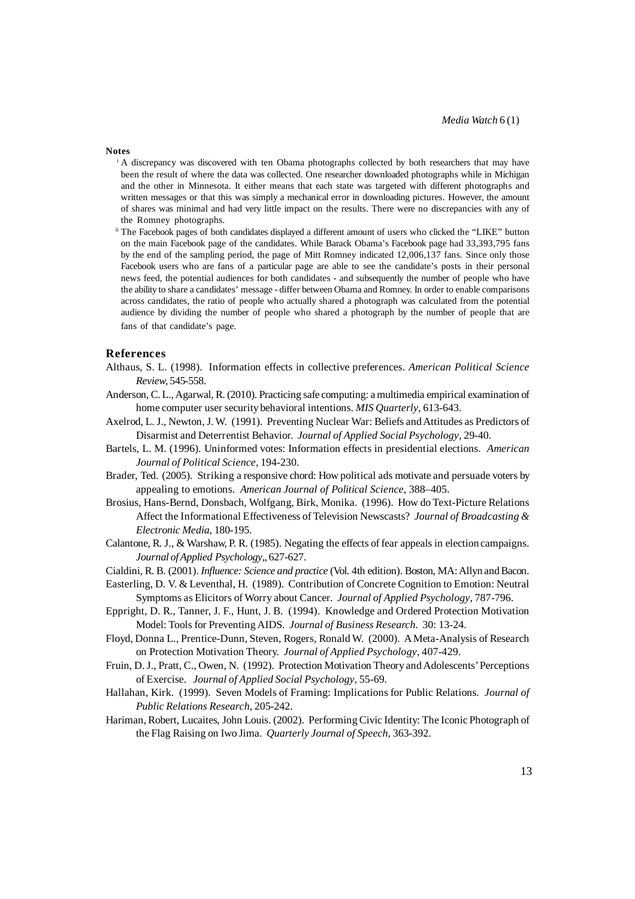#### **Notes**

- A discrepancy was discovered with ten Obama photographs collected by both researchers that may have been the result of where the data was collected. One researcher downloaded photographs while in Michigan and the other in Minnesota. It either means that each state was targeted with different photographs and written messages or that this was simply a mechanical error in downloading pictures. However, the amount of shares was minimal and had very little impact on the results. There were no discrepancies with any of the Romney photographs.
- ii The Facebook pages of both candidates displayed a different amount of users who clicked the "LIKE" button on the main Facebook page of the candidates. While Barack Obama's Facebook page had 33,393,795 fans by the end of the sampling period, the page of Mitt Romney indicated 12,006,137 fans. Since only those Facebook users who are fans of a particular page are able to see the candidate's posts in their personal news feed, the potential audiences for both candidates - and subsequently the number of people who have the ability to share a candidates' message - differ between Obama and Romney. In order to enable comparisons across candidates, the ratio of people who actually shared a photograph was calculated from the potential audience by dividing the number of people who shared a photograph by the number of people that are fans of that candidate's page.

#### **References**

- Althaus, S. L. (1998). Information effects in collective preferences. *American Political Science Review*, 545-558.
- Anderson, C. L., Agarwal, R. (2010). Practicing safe computing: a multimedia empirical examination of home computer user security behavioral intentions. *MIS Quarterly*, 613-643.
- Axelrod, L. J., Newton, J. W. (1991). Preventing Nuclear War: Beliefs and Attitudes as Predictors of Disarmist and Deterrentist Behavior. *Journal of Applied Social Psychology*, 29-40.
- Bartels, L. M. (1996). Uninformed votes: Information effects in presidential elections. *American Journal of Political Science*, 194-230.
- Brader, Ted. (2005). Striking a responsive chord: How political ads motivate and persuade voters by appealing to emotions. *American Journal of Political Science*, 388–405.
- Brosius, Hans-Bernd, Donsbach, Wolfgang, Birk, Monika. (1996). How do Text-Picture Relations Affect the Informational Effectiveness of Television Newscasts? *Journal of Broadcasting & Electronic Media,* 180-195.
- Calantone, R. J., & Warshaw, P. R. (1985). Negating the effects of fear appeals in election campaigns. *Journal ofApplied Psychology,*, 627-627.
- Cialdini, R. B. (2001). *Influence: Science and practice* (Vol. 4th edition). Boston, MA: Allyn and Bacon.
- Easterling, D. V. & Leventhal, H. (1989). Contribution of Concrete Cognition to Emotion: Neutral Symptoms as Elicitors of Worry about Cancer. *Journal of Applied Psychology*, 787-796.
- Eppright, D. R., Tanner, J. F., Hunt, J. B. (1994). Knowledge and Ordered Protection Motivation Model: Tools for Preventing AIDS. *Journal of Business Research*. 30: 13-24.
- Floyd, Donna L., Prentice-Dunn, Steven, Rogers, Ronald W. (2000). A Meta-Analysis of Research on Protection Motivation Theory. *Journal of Applied Psychology*, 407-429.
- Fruin, D. J., Pratt, C., Owen, N. (1992). Protection Motivation Theory and Adolescents' Perceptions of Exercise. *Journal of Applied Social Psychology*, 55-69.
- Hallahan, Kirk. (1999). Seven Models of Framing: Implications for Public Relations. *Journal of Public Relations Research*, 205-242.
- Hariman, Robert, Lucaites, John Louis. (2002). Performing Civic Identity: The Iconic Photograph of the Flag Raising on Iwo Jima. *Quarterly Journal of Speech*, 363-392.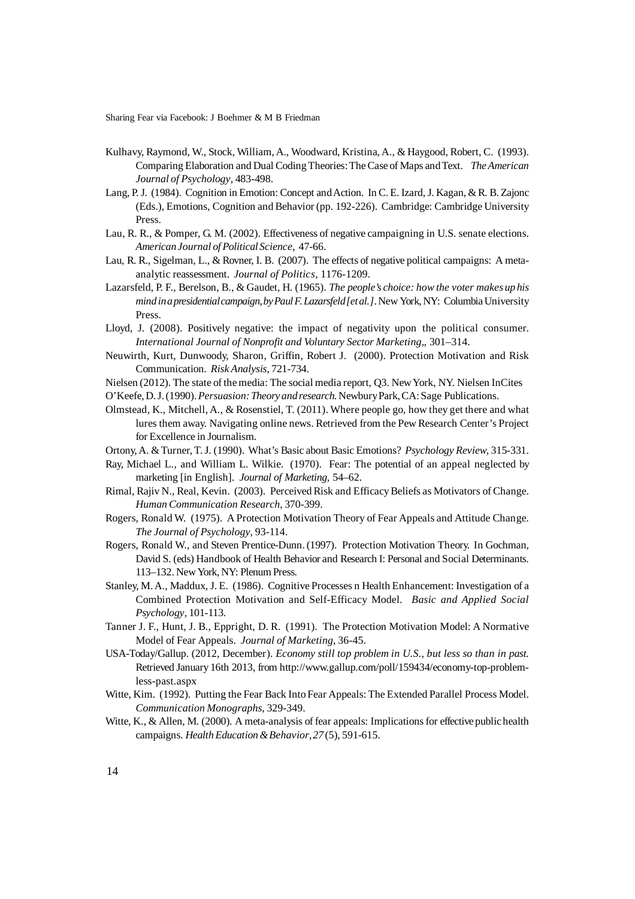- Kulhavy, Raymond, W., Stock, William, A., Woodward, Kristina, A., & Haygood, Robert, C. (1993). Comparing Elaboration and Dual Coding Theories: The Case of Maps and Text. *The American Journal of Psychology*, 483-498.
- Lang, P. J. (1984). Cognition in Emotion: Concept and Action. In C. E. Izard, J. Kagan, & R. B. Zajonc (Eds.), Emotions, Cognition and Behavior (pp. 192-226). Cambridge: Cambridge University **Press**
- Lau, R. R., & Pomper, G. M. (2002). Effectiveness of negative campaigning in U.S. senate elections. *AmericanJournal ofPolitical Science*, 47-66.
- Lau, R. R., Sigelman, L., & Rovner, I. B. (2007). The effects of negative political campaigns: A metaanalytic reassessment. *Journal of Politics*, 1176-1209.
- Lazarsfeld, P. F., Berelson, B., & Gaudet, H. (1965). *The people's choice: how the voter makes up his mindinapresidentialcampaign,byPaul F.Lazarsfeld[etal.]*.New York, NY: ColumbiaUniversity Press.
- Lloyd, J. (2008). Positively negative: the impact of negativity upon the political consumer. *International Journal of Nonprofit and Voluntary Sector Marketing,*, 301–314.
- Neuwirth, Kurt, Dunwoody, Sharon, Griffin, Robert J. (2000). Protection Motivation and Risk Communication. *Risk Analysis*, 721-734.
- Nielsen (2012). The state of the media: The social media report, Q3. New York, NY. Nielsen InCites
- O'Keefe,D.J.(1990).*Persuasion:Theoryandresearch.*NewburyPark,CA:Sage Publications.
- Olmstead, K., Mitchell, A., & Rosenstiel, T. (2011). Where people go, how they get there and what lures them away. Navigating online news. Retrieved from the Pew Research Center's Project for Excellence in Journalism.
- Ortony, A. & Turner, T. J. (1990). What's Basic about Basic Emotions? *Psychology Review*, 315-331.
- Ray, Michael L., and William L. Wilkie. (1970). Fear: The potential of an appeal neglected by marketing [in English]. *Journal of Marketing,* 54–62.
- Rimal, Rajiv N., Real, Kevin. (2003). Perceived Risk and Efficacy Beliefs as Motivators of Change. *Human Communication Research*, 370-399.
- Rogers, Ronald W. (1975). A Protection Motivation Theory of Fear Appeals and Attitude Change. *The Journal of Psychology*, 93-114.
- Rogers, Ronald W., and Steven Prentice-Dunn. (1997). Protection Motivation Theory. In Gochman, David S. (eds) Handbook of Health Behavior and Research I: Personal and Social Determinants. 113–132. New York, NY: Plenum Press.
- Stanley, M. A., Maddux, J. E. (1986). Cognitive Processes n Health Enhancement: Investigation of a Combined Protection Motivation and Self-Efficacy Model. *Basic and Applied Social Psychology*, 101-113.
- Tanner J. F., Hunt, J. B., Eppright, D. R. (1991). The Protection Motivation Model: A Normative Model of Fear Appeals. *Journal of Marketing*, 36-45.
- USA-Today/Gallup. (2012, December). *Economy still top problem in U.S., but less so than in past.* Retrieved January 16th 2013, from http://www.gallup.com/poll/159434/economy-top-problemless-past.aspx
- Witte, Kim. (1992). Putting the Fear Back Into Fear Appeals: The Extended Parallel Process Model. *Communication Monographs*, 329-349.
- Witte, K., & Allen, M. (2000). A meta-analysis of fear appeals: Implications for effective public health campaigns. *Health Education & Behavior*, 27(5), 591-615.